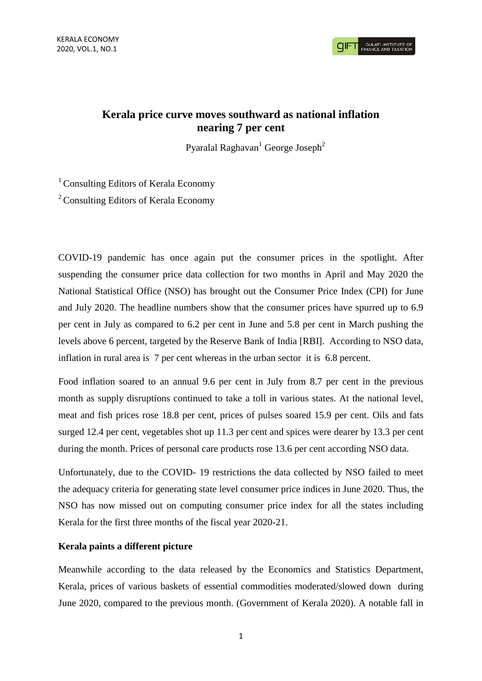**GULATI INSTITUTE O**<br>FINANCE AND TAXATIO

## **Kerala price curve moves southward as national inflation nearing 7 per cent**

Pyaralal Raghavan<sup>1</sup> George Joseph<sup>2</sup>

<sup>1</sup> Consulting Editors of Kerala Economy

<sup>2</sup> Consulting Editors of Kerala Economy

COVID-19 pandemic has once again put the consumer prices in the spotlight. After suspending the consumer price data collection for two months in April and May 2020 the National Statistical Office (NSO) has brought out the Consumer Price Index (CPI) for June and July 2020. The headline numbers show that the consumer prices have spurred up to 6.9 per cent in July as compared to 6.2 per cent in June and 5.8 per cent in March pushing the levels above 6 percent, targeted by the Reserve Bank of India [RBI]. According to NSO data, inflation in rural area is 7 per cent whereas in the urban sector it is 6.8 percent.

Food inflation soared to an annual 9.6 per cent in July from 8.7 per cent in the previous month as supply disruptions continued to take a toll in various states. At the national level, meat and fish prices rose 18.8 per cent, prices of pulses soared 15.9 per cent. Oils and fats surged 12.4 per cent, vegetables shot up 11.3 per cent and spices were dearer by 13.3 per cent during the month. Prices of personal care products rose 13.6 per cent according NSO data.

Unfortunately, due to the COVID- 19 restrictions the data collected by NSO failed to meet the adequacy criteria for generating state level consumer price indices in June 2020. Thus, the NSO has now missed out on computing consumer price index for all the states including Kerala for the first three months of the fiscal year 2020-21.

## **Kerala paints a different picture**

Meanwhile according to the data released by the Economics and Statistics Department, Kerala, prices of various baskets of essential commodities moderated/slowed down during June 2020, compared to the previous month. (Government of Kerala 2020). A notable fall in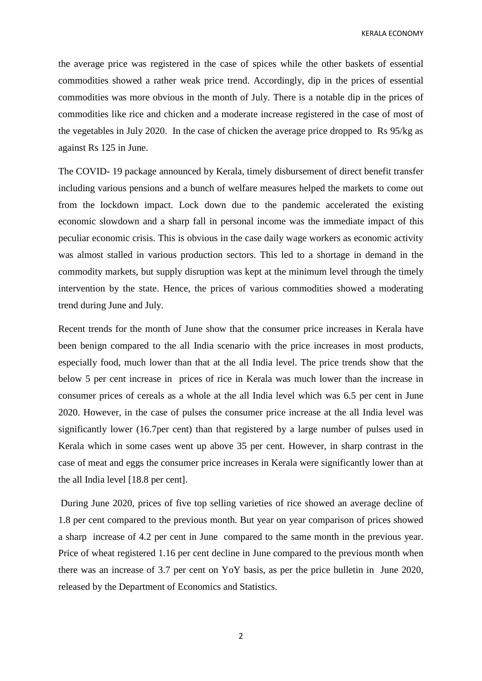KERALA ECONOMY

the average price was registered in the case of spices while the other baskets of essential commodities showed a rather weak price trend. Accordingly, dip in the prices of essential commodities was more obvious in the month of July. There is a notable dip in the prices of commodities like rice and chicken and a moderate increase registered in the case of most of the vegetables in July 2020. In the case of chicken the average price dropped to Rs 95/kg as against Rs 125 in June.

The COVID- 19 package announced by Kerala, timely disbursement of direct benefit transfer including various pensions and a bunch of welfare measures helped the markets to come out from the lockdown impact. Lock down due to the pandemic accelerated the existing economic slowdown and a sharp fall in personal income was the immediate impact of this peculiar economic crisis. This is obvious in the case daily wage workers as economic activity was almost stalled in various production sectors. This led to a shortage in demand in the commodity markets, but supply disruption was kept at the minimum level through the timely intervention by the state. Hence, the prices of various commodities showed a moderating trend during June and July.

Recent trends for the month of June show that the consumer price increases in Kerala have been benign compared to the all India scenario with the price increases in most products, especially food, much lower than that at the all India level. The price trends show that the below 5 per cent increase in prices of rice in Kerala was much lower than the increase in consumer prices of cereals as a whole at the all India level which was 6.5 per cent in June 2020. However, in the case of pulses the consumer price increase at the all India level was significantly lower (16.7per cent) than that registered by a large number of pulses used in Kerala which in some cases went up above 35 per cent. However, in sharp contrast in the case of meat and eggs the consumer price increases in Kerala were significantly lower than at the all India level [18.8 per cent].

During June 2020, prices of five top selling varieties of rice showed an average decline of 1.8 per cent compared to the previous month. But year on year comparison of prices showed a sharp increase of 4.2 per cent in June compared to the same month in the previous year. Price of wheat registered 1.16 per cent decline in June compared to the previous month when there was an increase of 3.7 per cent on YoY basis, as per the price bulletin in June 2020, released by the Department of Economics and Statistics.